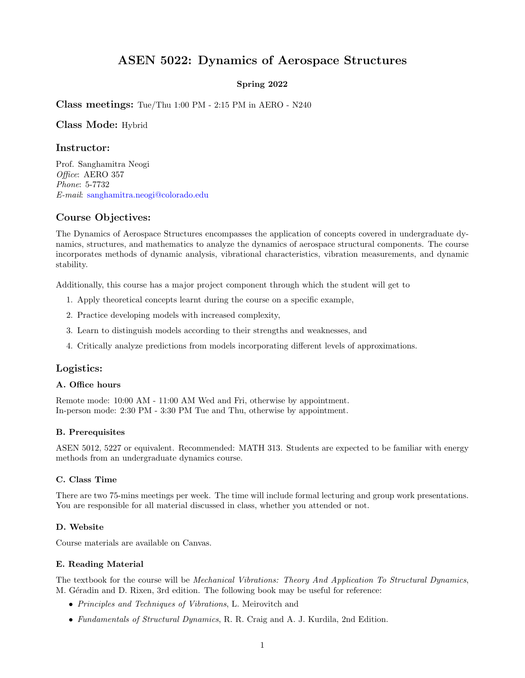# ASEN 5022: Dynamics of Aerospace Structures

## Spring 2022

Class meetings: Tue/Thu 1:00 PM - 2:15 PM in AERO - N240

Class Mode: Hybrid

## Instructor:

Prof. Sanghamitra Neogi Office: AERO 357 Phone: 5-7732 E-mail: [sanghamitra.neogi@colorado.edu](mailto:sanghamitra.neogi@colorado.edu)

# Course Objectives:

The Dynamics of Aerospace Structures encompasses the application of concepts covered in undergraduate dynamics, structures, and mathematics to analyze the dynamics of aerospace structural components. The course incorporates methods of dynamic analysis, vibrational characteristics, vibration measurements, and dynamic stability.

Additionally, this course has a major project component through which the student will get to

- 1. Apply theoretical concepts learnt during the course on a specific example,
- 2. Practice developing models with increased complexity,
- 3. Learn to distinguish models according to their strengths and weaknesses, and
- 4. Critically analyze predictions from models incorporating different levels of approximations.

# Logistics:

#### A. Office hours

Remote mode: 10:00 AM - 11:00 AM Wed and Fri, otherwise by appointment. In-person mode: 2:30 PM - 3:30 PM Tue and Thu, otherwise by appointment.

## B. Prerequisites

ASEN 5012, 5227 or equivalent. Recommended: MATH 313. Students are expected to be familiar with energy methods from an undergraduate dynamics course.

## C. Class Time

There are two 75-mins meetings per week. The time will include formal lecturing and group work presentations. You are responsible for all material discussed in class, whether you attended or not.

#### D. Website

Course materials are available on Canvas.

#### E. Reading Material

The textbook for the course will be *Mechanical Vibrations: Theory And Application To Structural Dynamics*, M. Géradin and D. Rixen, 3rd edition. The following book may be useful for reference:

- Principles and Techniques of Vibrations, L. Meirovitch and
- Fundamentals of Structural Dynamics, R. R. Craig and A. J. Kurdila, 2nd Edition.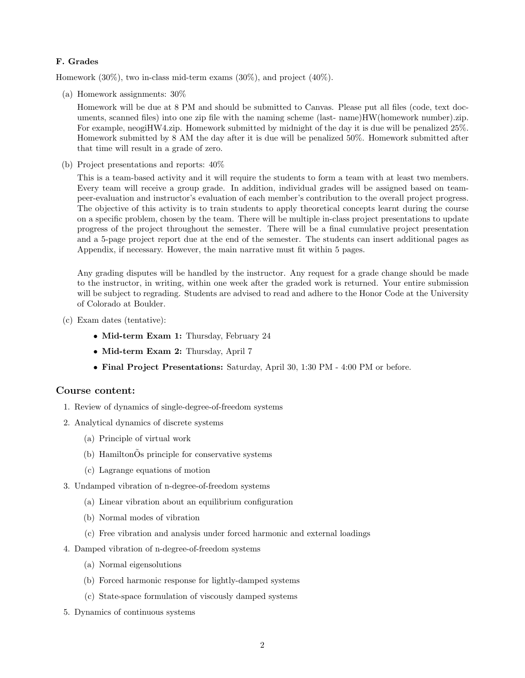## F. Grades

Homework (30%), two in-class mid-term exams (30%), and project (40%).

(a) Homework assignments: 30%

Homework will be due at 8 PM and should be submitted to Canvas. Please put all files (code, text documents, scanned files) into one zip file with the naming scheme (last- name)HW(homework number).zip. For example, neogiHW4.zip. Homework submitted by midnight of the day it is due will be penalized 25%. Homework submitted by 8 AM the day after it is due will be penalized 50%. Homework submitted after that time will result in a grade of zero.

(b) Project presentations and reports: 40%

This is a team-based activity and it will require the students to form a team with at least two members. Every team will receive a group grade. In addition, individual grades will be assigned based on teampeer-evaluation and instructor's evaluation of each member's contribution to the overall project progress. The objective of this activity is to train students to apply theoretical concepts learnt during the course on a specific problem, chosen by the team. There will be multiple in-class project presentations to update progress of the project throughout the semester. There will be a final cumulative project presentation and a 5-page project report due at the end of the semester. The students can insert additional pages as Appendix, if necessary. However, the main narrative must fit within 5 pages.

Any grading disputes will be handled by the instructor. Any request for a grade change should be made to the instructor, in writing, within one week after the graded work is returned. Your entire submission will be subject to regrading. Students are advised to read and adhere to the Honor Code at the University of Colorado at Boulder.

- (c) Exam dates (tentative):
	- Mid-term Exam 1: Thursday, February 24
	- Mid-term Exam 2: Thursday, April 7
	- Final Project Presentations: Saturday, April 30, 1:30 PM 4:00 PM or before.

## Course content:

- 1. Review of dynamics of single-degree-of-freedom systems
- 2. Analytical dynamics of discrete systems
	- (a) Principle of virtual work
	- (b) HamiltonOs principle for conservative systems
	- (c) Lagrange equations of motion
- 3. Undamped vibration of n-degree-of-freedom systems
	- (a) Linear vibration about an equilibrium configuration
	- (b) Normal modes of vibration
	- (c) Free vibration and analysis under forced harmonic and external loadings
- 4. Damped vibration of n-degree-of-freedom systems
	- (a) Normal eigensolutions
	- (b) Forced harmonic response for lightly-damped systems
	- (c) State-space formulation of viscously damped systems
- 5. Dynamics of continuous systems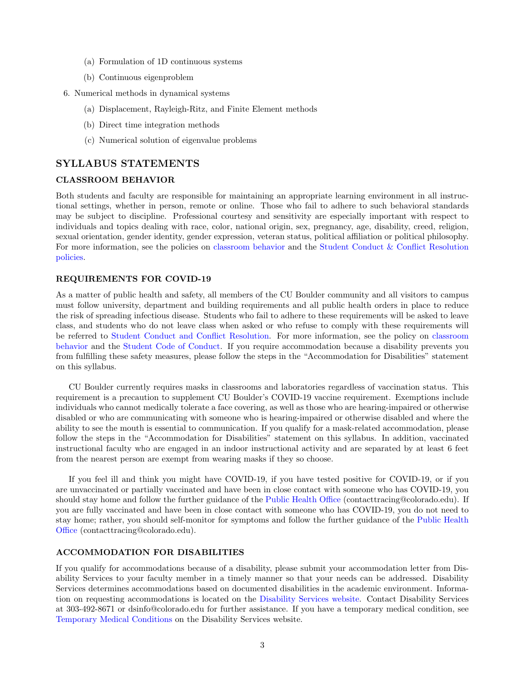- (a) Formulation of 1D continuous systems
- (b) Continuous eigenproblem
- 6. Numerical methods in dynamical systems
	- (a) Displacement, Rayleigh-Ritz, and Finite Element methods
	- (b) Direct time integration methods
	- (c) Numerical solution of eigenvalue problems

# SYLLABUS STATEMENTS

#### CLASSROOM BEHAVIOR

Both students and faculty are responsible for maintaining an appropriate learning environment in all instructional settings, whether in person, remote or online. Those who fail to adhere to such behavioral standards may be subject to discipline. Professional courtesy and sensitivity are especially important with respect to individuals and topics dealing with race, color, national origin, sex, pregnancy, age, disability, creed, religion, sexual orientation, gender identity, gender expression, veteran status, political affiliation or political philosophy. For more information, see the policies on [classroom behavior](http://www.colorado.edu/policies/student-classroom-and-course-related-behavior) and the [Student Conduct & Conflict Resolution](https://www.colorado.edu/sccr/student-conduct) [policies.](https://www.colorado.edu/sccr/student-conduct)

#### REQUIREMENTS FOR COVID-19

As a matter of public health and safety, all members of the CU Boulder community and all visitors to campus must follow university, department and building requirements and all public health orders in place to reduce the risk of spreading infectious disease. Students who fail to adhere to these requirements will be asked to leave class, and students who do not leave class when asked or who refuse to comply with these requirements will be referred to [Student Conduct and Conflict Resolution.](https://www.colorado.edu/sccr/) For more information, see the policy on [classroom](http://www.colorado.edu/policies/student-classroom-and-course-related-behavior) [behavior](http://www.colorado.edu/policies/student-classroom-and-course-related-behavior) and the [Student Code of Conduct.](http://www.colorado.edu/osccr/) If you require accommodation because a disability prevents you from fulfilling these safety measures, please follow the steps in the "Accommodation for Disabilities" statement on this syllabus.

CU Boulder currently requires masks in classrooms and laboratories regardless of vaccination status. This requirement is a precaution to supplement CU Boulder's COVID-19 vaccine requirement. Exemptions include individuals who cannot medically tolerate a face covering, as well as those who are hearing-impaired or otherwise disabled or who are communicating with someone who is hearing-impaired or otherwise disabled and where the ability to see the mouth is essential to communication. If you qualify for a mask-related accommodation, please follow the steps in the "Accommodation for Disabilities" statement on this syllabus. In addition, vaccinated instructional faculty who are engaged in an indoor instructional activity and are separated by at least 6 feet from the nearest person are exempt from wearing masks if they so choose.

If you feel ill and think you might have COVID-19, if you have tested positive for COVID-19, or if you are unvaccinated or partially vaccinated and have been in close contact with someone who has COVID-19, you should stay home and follow the further guidance of the [Public Health Office](https://www.colorado.edu/health/public-health/quarantine-and-isolation) (contacttracing@colorado.edu). If you are fully vaccinated and have been in close contact with someone who has COVID-19, you do not need to stay home; rather, you should self-monitor for symptoms and follow the further guidance of the [Public Health](https://www.colorado.edu/health/public-health/quarantine-and-isolation) [Office](https://www.colorado.edu/health/public-health/quarantine-and-isolation) (contacttracing@colorado.edu).

#### ACCOMMODATION FOR DISABILITIES

If you qualify for accommodations because of a disability, please submit your accommodation letter from Disability Services to your faculty member in a timely manner so that your needs can be addressed. Disability Services determines accommodations based on documented disabilities in the academic environment. Information on requesting accommodations is located on the [Disability Services website.](https://www.colorado.edu/disabilityservices/) Contact Disability Services at 303-492-8671 or dsinfo@colorado.edu for further assistance. If you have a temporary medical condition, see [Temporary Medical Conditions](http://www.colorado.edu/disabilityservices/students/temporary-medical-conditions) on the Disability Services website.